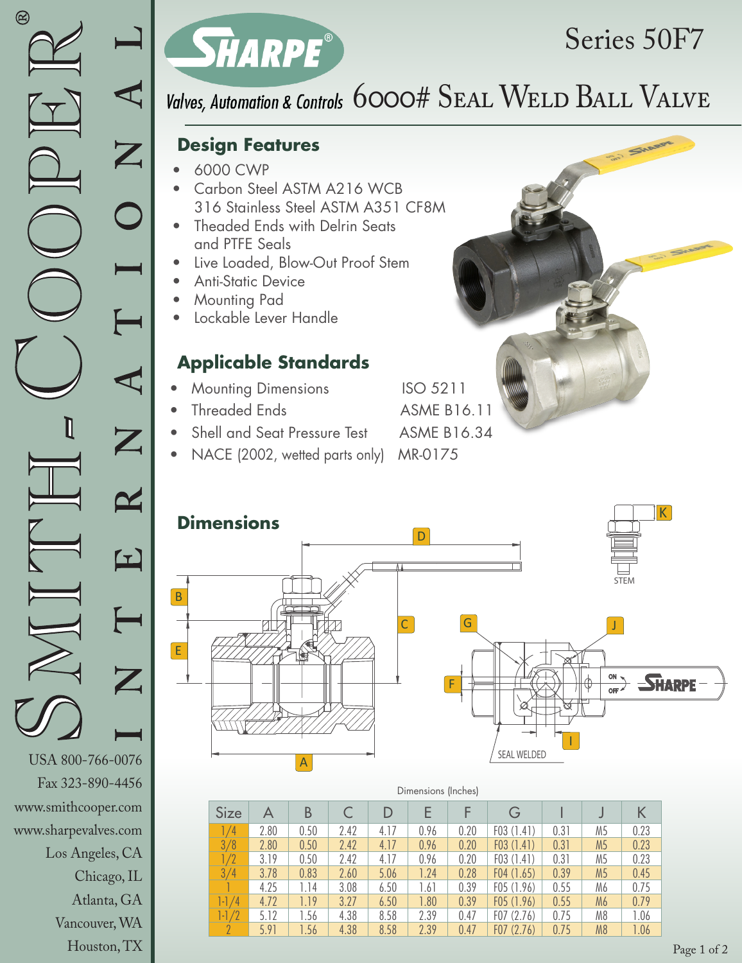Chicago, IL Atlanta, GA Vancouver, WA Houston, TX



# Series 50F7

### Valves, Automation & Controls 6000# SEAL WELD BALL VALVE

#### **Design Features**

- 6000 CWP
- Carbon Steel ASTM A216 WCB 316 Stainless Steel ASTM A351 CF8M
- Theaded Ends with Delrin Seats and PTFE Seals
- Live Loaded, Blow-Out Proof Stem
- Anti-Static Device
- Mounting Pad
- Lockable Lever Handle

#### **Applicable Standards**

- **Mounting Dimensions** ISO 5211
- Threaded Ends ASME B16.11
- Shell and Seat Pressure Test ASME B16.34
- NACE (2002, wetted parts only) MR-0175





| Dimensions (Inches) |      |      |      |      |      |      |           |      |                |      |
|---------------------|------|------|------|------|------|------|-----------|------|----------------|------|
| Size                | A    | B    |      |      |      |      |           |      |                |      |
| /4                  | 2.80 | 0.50 | 2.42 | 4.17 | 0.96 | 0.20 | F03(1.41) | 0.31 | M5             | 0.23 |
| 3/8                 | 2.80 | 0.50 | 2.42 | 4.17 | 0.96 | 0.20 | F03(1.41) | 0.31 | M <sub>5</sub> | 0.23 |
| /2                  | 3.19 | 0.50 | 2.42 | 4.17 | 0.96 | 0.20 | F03(1.41) | 0.31 | M5             | 0.23 |
| 3/4                 | 3.78 | 0.83 | 2.60 | 5.06 | 1.24 | 0.28 | F04(1.65) | 0.39 | M <sub>5</sub> | 0.45 |
|                     | 4.25 | 1.14 | 3.08 | 6.50 | 1.61 | 0.39 | F05(1.96) | 0.55 | M6             | 0.75 |
| 1-1<br>′4           | 4.72 | 1.19 | 3.27 | 6.50 | 1.80 | 0.39 | F05(1.96) | 0.55 | M <sub>6</sub> | 0.79 |
| 1-1                 | 5.12 | 1.56 | 4.38 | 8.58 | 2.39 | 0.47 | F07(2.76) | 0.75 | M8             | 1.06 |
|                     | 5.91 | 1.56 | 4.38 | 8.58 | 2.39 | 0.47 | F07(2.76) | 0.75 | M <sub>8</sub> | 1.06 |